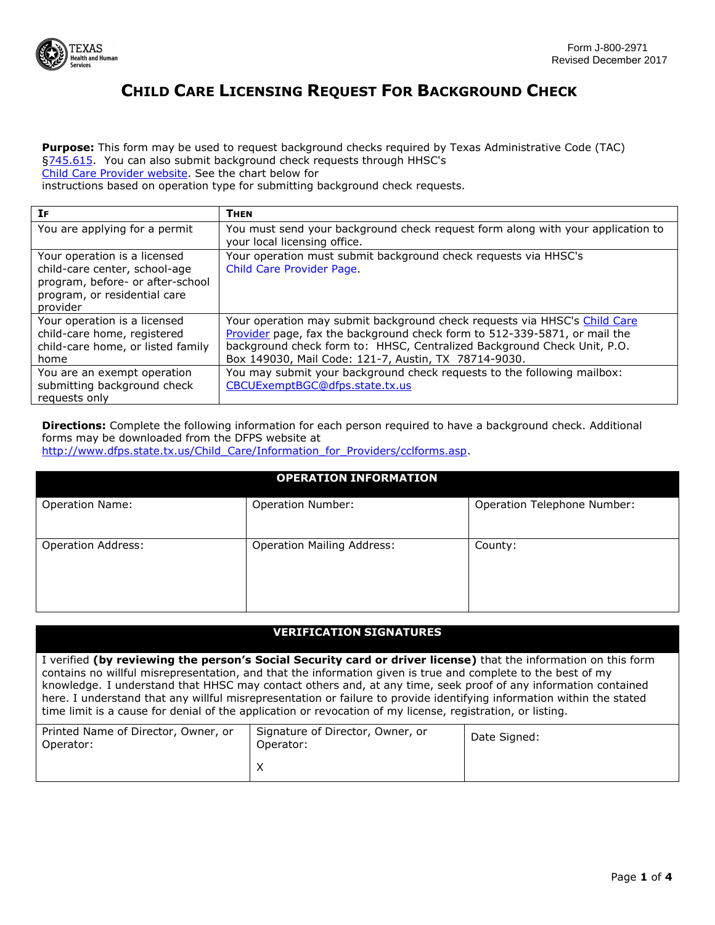

## **CHILD CARE LICENSING REQUEST FOR BACKGROUND CHECK**

**Purpose:** This form may be used to request background checks required by Texas Administrative Code (TAC) [§745.615.](http://texreg.sos.state.tx.us/public/readtac$ext.TacPage?sl=R&app=9&p_dir=&p_rloc=&p_tloc=&p_ploc=&pg=1&p_tac=&ti=40&pt=19&ch=745&rl=615) You can also submit background check requests through HHSC's [Child Care Provider website](https://www.dfps.state.tx.us/Child_Care/Search_Texas_Child_Care/ppFacilityLogin.asp). See the chart below for instructions based on operation type for submitting background check requests.

| <b>IF</b>                                                                                                                                     | <b>THEN</b>                                                                                                                                                                                                                                                                               |
|-----------------------------------------------------------------------------------------------------------------------------------------------|-------------------------------------------------------------------------------------------------------------------------------------------------------------------------------------------------------------------------------------------------------------------------------------------|
| You are applying for a permit                                                                                                                 | You must send your background check request form along with your application to<br>your local licensing office.                                                                                                                                                                           |
| Your operation is a licensed<br>child-care center, school-age<br>program, before- or after-school<br>program, or residential care<br>provider | Your operation must submit background check requests via HHSC's<br>Child Care Provider Page.                                                                                                                                                                                              |
| Your operation is a licensed<br>child-care home, registered<br>child-care home, or listed family<br>home                                      | Your operation may submit background check requests via HHSC's Child Care<br>Provider page, fax the background check form to 512-339-5871, or mail the<br>background check form to: HHSC, Centralized Background Check Unit, P.O.<br>Box 149030, Mail Code: 121-7, Austin, TX 78714-9030. |
| You are an exempt operation<br>submitting background check<br>requests only                                                                   | You may submit your background check requests to the following mailbox:<br>CBCUExemptBGC@dfps.state.tx.us                                                                                                                                                                                 |

**Directions:** Complete the following information for each person required to have a background check. Additional forms may be downloaded from the DFPS website at

http://www.dfps.state.tx.us/Child\_Care/Information\_for\_Providers/cclforms.asp

| <b>OPERATION INFORMATION</b> |                                   |                             |  |  |  |  |  |  |
|------------------------------|-----------------------------------|-----------------------------|--|--|--|--|--|--|
| <b>Operation Name:</b>       | <b>Operation Number:</b>          | Operation Telephone Number: |  |  |  |  |  |  |
| <b>Operation Address:</b>    | <b>Operation Mailing Address:</b> | County:                     |  |  |  |  |  |  |

## **VERIFICATION SIGNATURES**

I verified **(by reviewing the person's Social Security card or driver license)** that the information on this form contains no willful misrepresentation, and that the information given is true and complete to the best of my knowledge. I understand that HHSC may contact others and, at any time, seek proof of any information contained here. I understand that any willful misrepresentation or failure to provide identifying information within the stated time limit is a cause for denial of the application or revocation of my license, registration, or listing.

| Printed Name of Director, Owner, or<br>Operator: | Signature of Director, Owner, or<br>Operator: | Date Signed: |  |  |
|--------------------------------------------------|-----------------------------------------------|--------------|--|--|
|                                                  |                                               |              |  |  |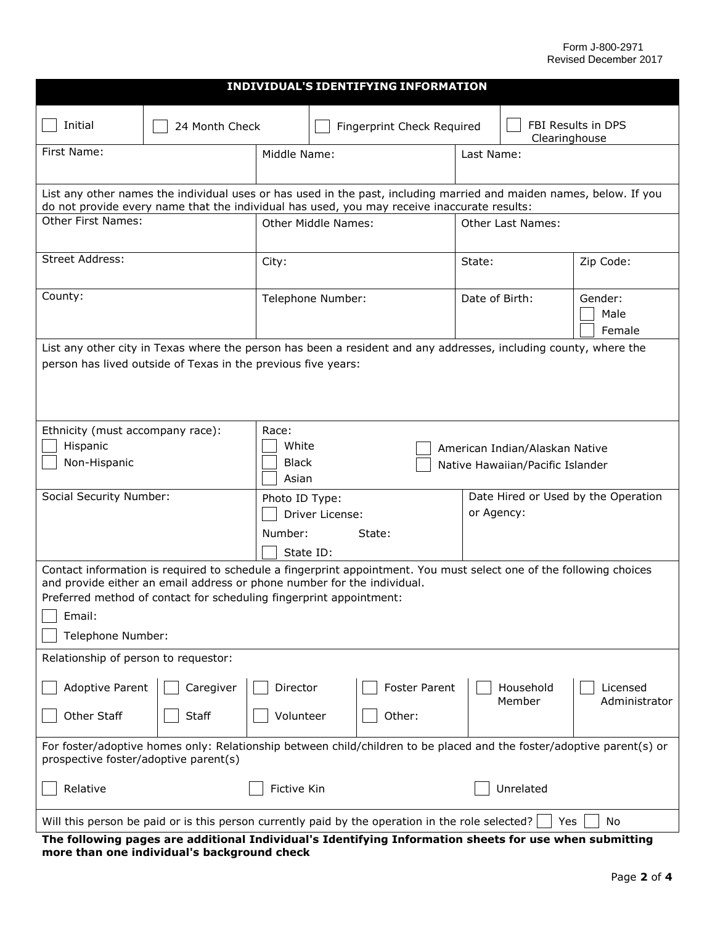## Form J-800-2971 Revised December 2017

| INDIVIDUAL'S IDENTIFYING INFORMATION                                                                                                                                                                                                                                                                 |                |                                  |                 |                                                                                                      |                   |                                                   |               |                           |
|------------------------------------------------------------------------------------------------------------------------------------------------------------------------------------------------------------------------------------------------------------------------------------------------------|----------------|----------------------------------|-----------------|------------------------------------------------------------------------------------------------------|-------------------|---------------------------------------------------|---------------|---------------------------|
| Initial                                                                                                                                                                                                                                                                                              | 24 Month Check |                                  |                 | Fingerprint Check Required                                                                           |                   |                                                   | Clearinghouse | FBI Results in DPS        |
| First Name:                                                                                                                                                                                                                                                                                          |                | Middle Name:                     |                 |                                                                                                      | Last Name:        |                                                   |               |                           |
| List any other names the individual uses or has used in the past, including married and maiden names, below. If you<br>do not provide every name that the individual has used, you may receive inaccurate results:                                                                                   |                |                                  |                 |                                                                                                      |                   |                                                   |               |                           |
| Other First Names:                                                                                                                                                                                                                                                                                   |                | <b>Other Middle Names:</b>       |                 |                                                                                                      | Other Last Names: |                                                   |               |                           |
| Street Address:                                                                                                                                                                                                                                                                                      |                | City:                            |                 |                                                                                                      |                   | State:                                            |               | Zip Code:                 |
| County:                                                                                                                                                                                                                                                                                              |                | Telephone Number:                |                 |                                                                                                      |                   | Date of Birth:                                    |               | Gender:<br>Male<br>Female |
| List any other city in Texas where the person has been a resident and any addresses, including county, where the<br>person has lived outside of Texas in the previous five years:                                                                                                                    |                |                                  |                 |                                                                                                      |                   |                                                   |               |                           |
| Ethnicity (must accompany race):                                                                                                                                                                                                                                                                     |                | Race:                            |                 |                                                                                                      |                   |                                                   |               |                           |
| Non-Hispanic                                                                                                                                                                                                                                                                                         | Hispanic       |                                  |                 | White<br>American Indian/Alaskan Native<br><b>Black</b><br>Native Hawaiian/Pacific Islander<br>Asian |                   |                                                   |               |                           |
| Social Security Number:                                                                                                                                                                                                                                                                              |                | Photo ID Type:                   |                 |                                                                                                      |                   | Date Hired or Used by the Operation<br>or Agency: |               |                           |
|                                                                                                                                                                                                                                                                                                      |                | Number:                          | Driver License: | State:                                                                                               |                   |                                                   |               |                           |
| State ID:                                                                                                                                                                                                                                                                                            |                |                                  |                 |                                                                                                      |                   |                                                   |               |                           |
| Contact information is required to schedule a fingerprint appointment. You must select one of the following choices<br>and provide either an email address or phone number for the individual.<br>Preferred method of contact for scheduling fingerprint appointment:<br>Email:<br>Telephone Number: |                |                                  |                 |                                                                                                      |                   |                                                   |               |                           |
| Relationship of person to requestor:                                                                                                                                                                                                                                                                 |                |                                  |                 |                                                                                                      |                   |                                                   |               |                           |
| Adoptive Parent                                                                                                                                                                                                                                                                                      | Caregiver      | Director<br><b>Foster Parent</b> |                 |                                                                                                      |                   | Household<br>Member                               |               | Licensed<br>Administrator |
| Other Staff                                                                                                                                                                                                                                                                                          | Staff          | Other:<br>Volunteer              |                 |                                                                                                      |                   |                                                   |               |                           |
| For foster/adoptive homes only: Relationship between child/children to be placed and the foster/adoptive parent(s) or<br>prospective foster/adoptive parent(s)                                                                                                                                       |                |                                  |                 |                                                                                                      |                   |                                                   |               |                           |
| Relative                                                                                                                                                                                                                                                                                             |                | Fictive Kin                      |                 |                                                                                                      |                   | Unrelated                                         |               |                           |
| Will this person be paid or is this person currently paid by the operation in the role selected?<br>No<br>Yes                                                                                                                                                                                        |                |                                  |                 |                                                                                                      |                   |                                                   |               |                           |

**The following pages are additional Individual's Identifying Information sheets for use when submitting more than one individual's background check**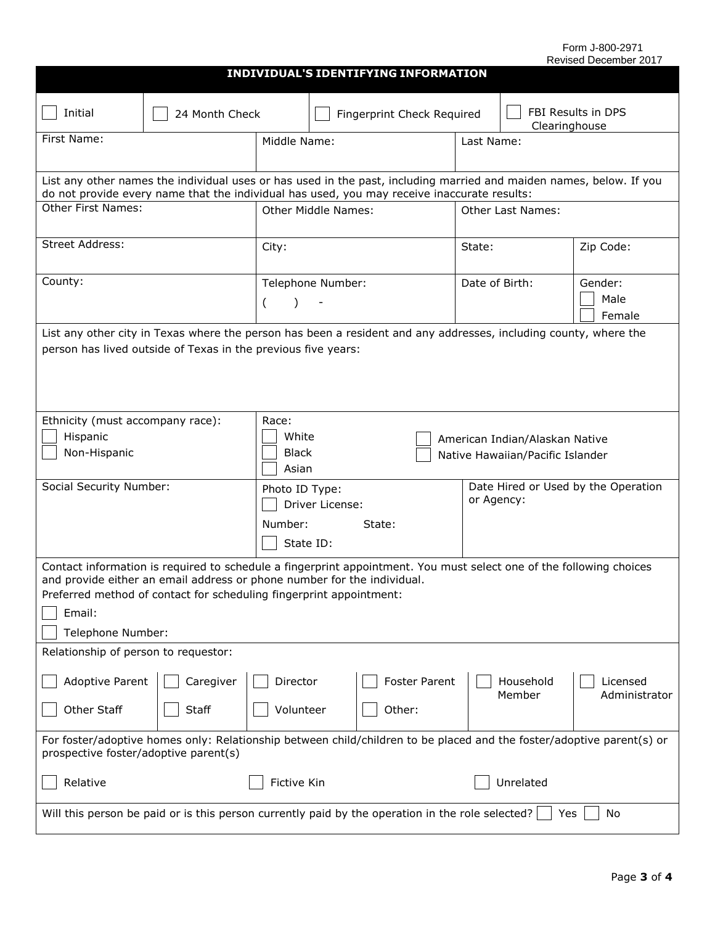| INDIVIDUAL'S IDENTIFYING INFORMATION                                                                                                                                                                                                                                                                 |                               |                                                                                                               |             |                                             |            |            |                                     |                           |
|------------------------------------------------------------------------------------------------------------------------------------------------------------------------------------------------------------------------------------------------------------------------------------------------------|-------------------------------|---------------------------------------------------------------------------------------------------------------|-------------|---------------------------------------------|------------|------------|-------------------------------------|---------------------------|
| Initial                                                                                                                                                                                                                                                                                              | 24 Month Check                |                                                                                                               |             | Fingerprint Check Required                  |            |            | FBI Results in DPS<br>Clearinghouse |                           |
| First Name:                                                                                                                                                                                                                                                                                          |                               | Middle Name:                                                                                                  |             |                                             |            | Last Name: |                                     |                           |
| List any other names the individual uses or has used in the past, including married and maiden names, below. If you<br>do not provide every name that the individual has used, you may receive inaccurate results:                                                                                   |                               |                                                                                                               |             |                                             |            |            |                                     |                           |
| Other First Names:                                                                                                                                                                                                                                                                                   | <b>Other Middle Names:</b>    |                                                                                                               |             | Other Last Names:                           |            |            |                                     |                           |
| Street Address:                                                                                                                                                                                                                                                                                      |                               | City:                                                                                                         |             |                                             | State:     |            | Zip Code:                           |                           |
| County:                                                                                                                                                                                                                                                                                              | Telephone Number:<br>$\left($ |                                                                                                               |             | Date of Birth:<br>Gender:<br>Male<br>Female |            |            |                                     |                           |
| List any other city in Texas where the person has been a resident and any addresses, including county, where the<br>person has lived outside of Texas in the previous five years:                                                                                                                    |                               |                                                                                                               |             |                                             |            |            |                                     |                           |
| Ethnicity (must accompany race):<br>Hispanic<br>Non-Hispanic                                                                                                                                                                                                                                         |                               | Race:<br>White<br>American Indian/Alaskan Native<br><b>Black</b><br>Native Hawaiian/Pacific Islander<br>Asian |             |                                             |            |            |                                     |                           |
| Social Security Number:                                                                                                                                                                                                                                                                              |                               | Photo ID Type:<br>Driver License:<br>Number:<br>State:<br>State ID:                                           |             |                                             | or Agency: |            | Date Hired or Used by the Operation |                           |
| Contact information is required to schedule a fingerprint appointment. You must select one of the following choices<br>and provide either an email address or phone number for the individual.<br>Preferred method of contact for scheduling fingerprint appointment:<br>Email:<br>Telephone Number: |                               |                                                                                                               |             |                                             |            |            |                                     |                           |
| Relationship of person to requestor:                                                                                                                                                                                                                                                                 |                               |                                                                                                               |             |                                             |            |            |                                     |                           |
| <b>Adoptive Parent</b><br>Other Staff                                                                                                                                                                                                                                                                | Caregiver<br>Staff            | Director<br>Volunteer                                                                                         |             | <b>Foster Parent</b><br>Other:              |            |            | Household<br>Member                 | Licensed<br>Administrator |
| For foster/adoptive homes only: Relationship between child/children to be placed and the foster/adoptive parent(s) or<br>prospective foster/adoptive parent(s)                                                                                                                                       |                               |                                                                                                               |             |                                             |            |            |                                     |                           |
| Relative                                                                                                                                                                                                                                                                                             |                               |                                                                                                               | Fictive Kin |                                             |            | Unrelated  |                                     |                           |
| Will this person be paid or is this person currently paid by the operation in the role selected?<br>Yes<br>No                                                                                                                                                                                        |                               |                                                                                                               |             |                                             |            |            |                                     |                           |